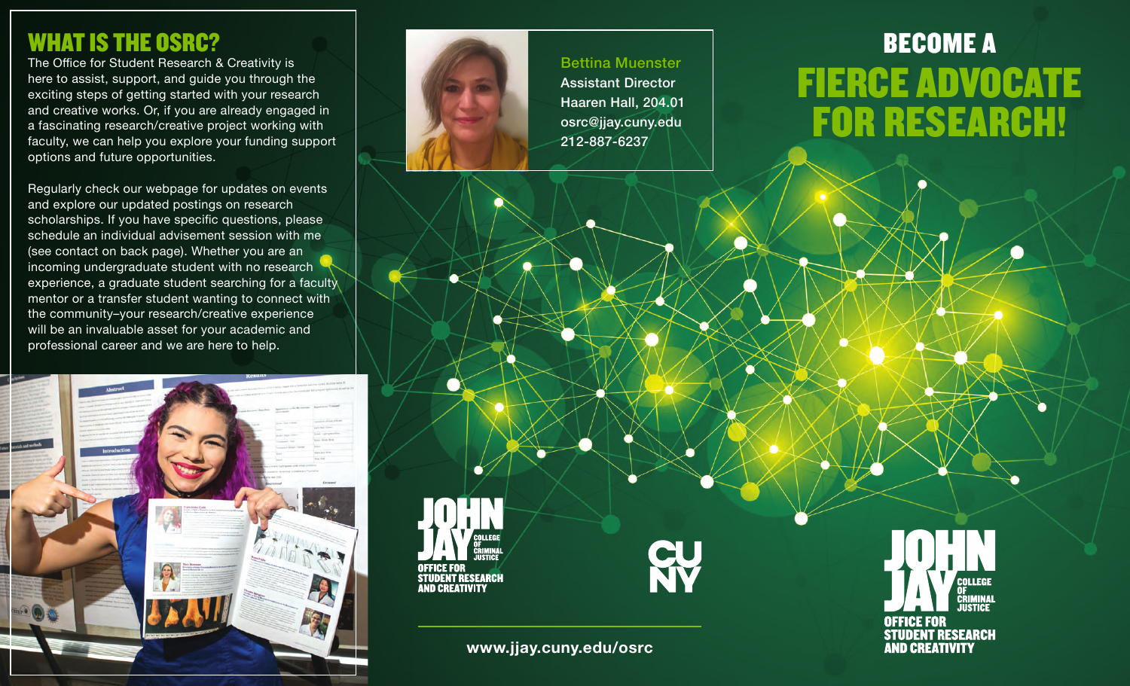### WHAT IS THE OSRC?

The Office for Student Research & Creativity is here to assist, support, and guide you through the exciting steps of getting started with your research and creative works. Or, if you are already engaged in a fascinating research/creative project working with faculty, we can help you explore your funding support options and future opportunities.

Regularly check our webpage for updates on events and explore our updated postings on research scholarships. If you have specific questions, please schedule an individual advisement session with me (see contact on back page). Whether you are an incoming undergraduate student with no research experience, a graduate student searching for a faculty mentor or a transfer student wanting to connect with the community–your research/creative experience will be an invaluable asset for your academic and professional career and we are here to help.





# BECOME A FIERCE ADVOCATE FOR RESEARCH!

**COLLEGE** 

**CRIMINAL** 

**OFFICE FOR** 

**STUDENT RESEARCH AND CREATIVITY** 

**www.jjay.cuny.edu/osrc**

*NND CREATIVITY*